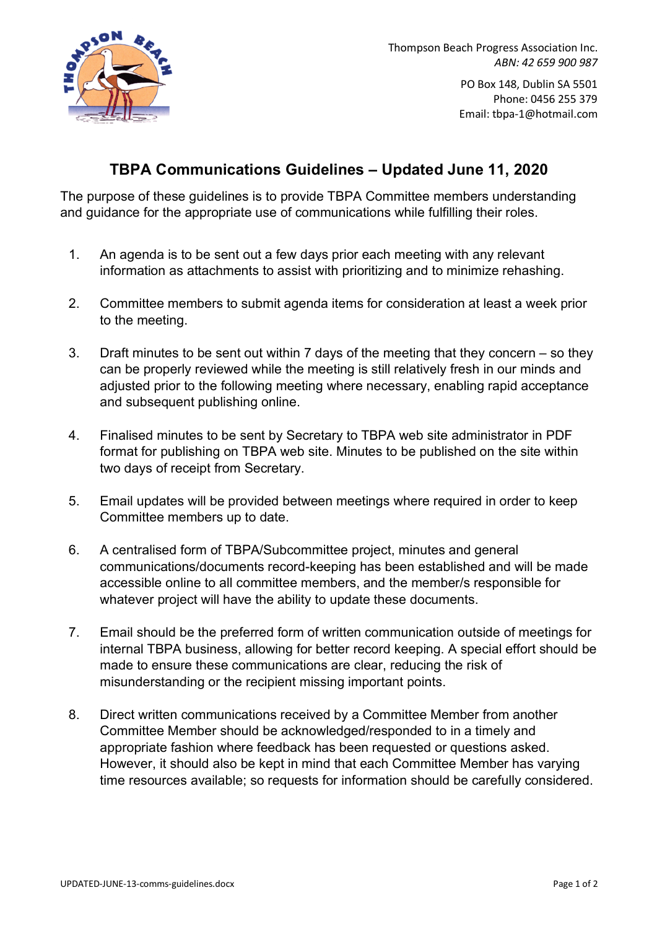

Thompson Beach Progress Association Inc. *ABN: 42 659 900 987*

> PO Box 148, Dublin SA 5501 Phone: 0456 255 379 Email: tbpa-1@hotmail.com

## **TBPA Communications Guidelines – Updated June 11, 2020**

The purpose of these guidelines is to provide TBPA Committee members understanding and guidance for the appropriate use of communications while fulfilling their roles.

- 1. An agenda is to be sent out a few days prior each meeting with any relevant information as attachments to assist with prioritizing and to minimize rehashing.
- 2. Committee members to submit agenda items for consideration at least a week prior to the meeting.
- 3. Draft minutes to be sent out within 7 days of the meeting that they concern so they can be properly reviewed while the meeting is still relatively fresh in our minds and adjusted prior to the following meeting where necessary, enabling rapid acceptance and subsequent publishing online.
- 4. Finalised minutes to be sent by Secretary to TBPA web site administrator in PDF format for publishing on TBPA web site. Minutes to be published on the site within two days of receipt from Secretary.
- 5. Email updates will be provided between meetings where required in order to keep Committee members up to date.
- 6. A centralised form of TBPA/Subcommittee project, minutes and general communications/documents record-keeping has been established and will be made accessible online to all committee members, and the member/s responsible for whatever project will have the ability to update these documents.
- 7. Email should be the preferred form of written communication outside of meetings for internal TBPA business, allowing for better record keeping. A special effort should be made to ensure these communications are clear, reducing the risk of misunderstanding or the recipient missing important points.
- 8. Direct written communications received by a Committee Member from another Committee Member should be acknowledged/responded to in a timely and appropriate fashion where feedback has been requested or questions asked. However, it should also be kept in mind that each Committee Member has varying time resources available; so requests for information should be carefully considered.